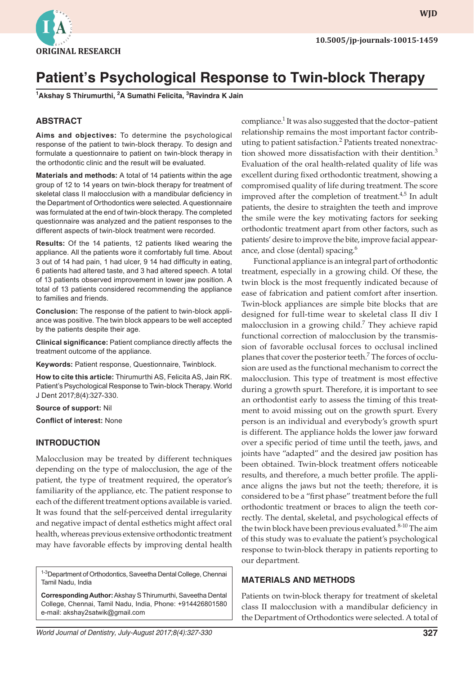

**wjd WJD**

# **Patient's Psychological Response to Twin-block Therapy**

**1 Akshay S Thirumurthi, 2 A Sumathi Felicita, 3 Ravindra K Jain**

## **ABSTRACT**

**Aims and objectives:** To determine the psychological response of the patient to twin-block therapy. To design and formulate a questionnaire to patient on twin-block therapy in the orthodontic clinic and the result will be evaluated.

**Materials and methods:** A total of 14 patients within the age group of 12 to 14 years on twin-block therapy for treatment of skeletal class II malocclusion with a mandibular deficiency in the Department of Orthodontics were selected. A questionnaire was formulated at the end of twin-block therapy. The completed questionnaire was analyzed and the patient responses to the different aspects of twin-block treatment were recorded.

**Results:** Of the 14 patients, 12 patients liked wearing the appliance. All the patients wore it comfortably full time. About 3 out of 14 had pain, 1 had ulcer, 9 14 had difficulty in eating, 6 patients had altered taste, and 3 had altered speech. A total of 13 patients observed improvement in lower jaw position. A total of 13 patients considered recommending the appliance to families and friends.

**Conclusion:** The response of the patient to twin-block appliance was positive. The twin block appears to be well accepted by the patients despite their age.

**Clinical significance:** Patient compliance directly affects the treatment outcome of the appliance.

**Keywords:** Patient response, Questionnaire, Twinblock.

**How to cite this article:** Thirumurthi AS, Felicita AS, Jain RK. Patient's Psychological Response to Twin-block Therapy. World J Dent 2017;8(4):327-330.

#### **Source of support:** Nil

**Conflict of interest:** None

#### **INTRODUCTION**

Malocclusion may be treated by different techniques depending on the type of malocclusion, the age of the patient, the type of treatment required, the operator's familiarity of the appliance, etc. The patient response to each of the different treatment options available is varied. It was found that the self-perceived dental irregularity and negative impact of dental esthetics might affect oral health, whereas previous extensive orthodontic treatment may have favorable effects by improving dental health

<sup>1-3</sup>Department of Orthodontics, Saveetha Dental College, Chennai Tamil Nadu, India

**Corresponding Author:** Akshay S Thirumurthi, Saveetha Dental College, Chennai, Tamil Nadu, India, Phone: +914426801580 e-mail: akshay2satwik@gmail.com

*World Journal of Dentistry, July-August 2017;8(4):327-330* **327**

compliance.<sup>1</sup> It was also suggested that the doctor-patient relationship remains the most important factor contributing to patient satisfaction.<sup>2</sup> Patients treated nonextraction showed more dissatisfaction with their dentition.<sup>3</sup> Evaluation of the oral health-related quality of life was excellent during fixed orthodontic treatment, showing a compromised quality of life during treatment. The score improved after the completion of treatment. $4,5$  In adult patients, the desire to straighten the teeth and improve the smile were the key motivating factors for seeking orthodontic treatment apart from other factors, such as patients' desire to improve the bite, improve facial appearance, and close (dental) spacing.<sup>6</sup>

Functional appliance is an integral part of orthodontic treatment, especially in a growing child. Of these, the twin block is the most frequently indicated because of ease of fabrication and patient comfort after insertion. Twin-block appliances are simple bite blocks that are designed for full-time wear to skeletal class II div I malocclusion in a growing child.<sup>7</sup> They achieve rapid functional correction of malocclusion by the transmission of favorable occlusal forces to occlusal inclined planes that cover the posterior teeth.<sup>7</sup> The forces of occlusion are used as the functional mechanism to correct the malocclusion. This type of treatment is most effective during a growth spurt. Therefore, it is important to see an orthodontist early to assess the timing of this treatment to avoid missing out on the growth spurt. Every person is an individual and everybody's growth spurt is different. The appliance holds the lower jaw forward over a specific period of time until the teeth, jaws, and joints have "adapted" and the desired jaw position has been obtained. Twin-block treatment offers noticeable results, and therefore, a much better profile. The appliance aligns the jaws but not the teeth; therefore, it is considered to be a "first phase" treatment before the full orthodontic treatment or braces to align the teeth correctly. The dental, skeletal, and psychological effects of the twin block have been previous evaluated.<sup>8-10</sup> The aim of this study was to evaluate the patient's psychological response to twin-block therapy in patients reporting to our department.

#### **MATERIALS AND METHODS**

Patients on twin-block therapy for treatment of skeletal class II malocclusion with a mandibular deficiency in the Department of Orthodontics were selected. A total of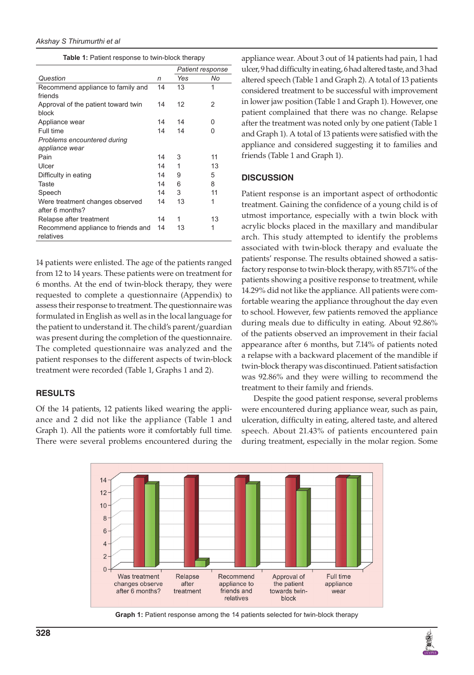|  |  |  |  | Table 1: Patient response to twin-block therapy |  |
|--|--|--|--|-------------------------------------------------|--|
|--|--|--|--|-------------------------------------------------|--|

|                                     |    | Patient response |    |
|-------------------------------------|----|------------------|----|
| Question                            | n  | Yes              | No |
| Recommend appliance to family and   |    | 13               | 1  |
| friends                             |    |                  |    |
| Approval of the patient toward twin |    | 12               | 2  |
| block                               |    |                  |    |
| Appliance wear                      | 14 | 14               | 0  |
| Full time                           | 14 | 14               | 0  |
| Problems encountered during         |    |                  |    |
| appliance wear                      |    |                  |    |
| Pain                                | 14 | 3                | 11 |
| Ulcer                               | 14 | 1                | 13 |
| Difficulty in eating                |    | 9                | 5  |
| Taste                               | 14 | 6                | 8  |
| Speech                              | 14 | 3                | 11 |
| Were treatment changes observed     |    | 13               | 1  |
| after 6 months?                     |    |                  |    |
| Relapse after treatment             | 14 | 1                | 13 |
| Recommend appliance to friends and  |    | 13               | 1  |
| relatives                           |    |                  |    |
|                                     |    |                  |    |

14 patients were enlisted. The age of the patients ranged from 12 to 14 years. These patients were on treatment for 6 months. At the end of twin-block therapy, they were requested to complete a questionnaire (Appendix) to assess their response to treatment. The questionnaire was formulated in English as well as in the local language for the patient to understand it. The child's parent/guardian was present during the completion of the questionnaire. The completed questionnaire was analyzed and the patient responses to the different aspects of twin-block treatment were recorded (Table 1, Graphs 1 and 2).

### **RESULTS**

Of the 14 patients, 12 patients liked wearing the appliance and 2 did not like the appliance (Table 1 and Graph 1). All the patients wore it comfortably full time. There were several problems encountered during the appliance wear. About 3 out of 14 patients had pain, 1 had ulcer, 9 had difficulty in eating, 6 had altered taste, and 3 had altered speech (Table 1 and Graph 2). A total of 13 patients considered treatment to be successful with improvement in lower jaw position (Table 1 and Graph 1). However, one patient complained that there was no change. Relapse after the treatment was noted only by one patient (Table 1 and Graph 1). A total of 13 patients were satisfied with the appliance and considered suggesting it to families and friends (Table 1 and Graph 1).

## **DISCUSSION**

Patient response is an important aspect of orthodontic treatment. Gaining the confidence of a young child is of utmost importance, especially with a twin block with acrylic blocks placed in the maxillary and mandibular arch. This study attempted to identify the problems associated with twin-block therapy and evaluate the patients' response. The results obtained showed a satisfactory response to twin-block therapy, with 85.71% of the patients showing a positive response to treatment, while 14.29% did not like the appliance. All patients were comfortable wearing the appliance throughout the day even to school. However, few patients removed the appliance during meals due to difficulty in eating. About 92.86% of the patients observed an improvement in their facial appearance after 6 months, but 7.14% of patients noted a relapse with a backward placement of the mandible if twin-block therapy was discontinued. Patient satisfaction was 92.86% and they were willing to recommend the treatment to their family and friends.

Despite the good patient response, several problems were encountered during appliance wear, such as pain, ulceration, difficulty in eating, altered taste, and altered speech. About 21.43% of patients encountered pain during treatment, especially in the molar region. Some



**Graph 1:** Patient response among the 14 patients selected for twin-block therapy

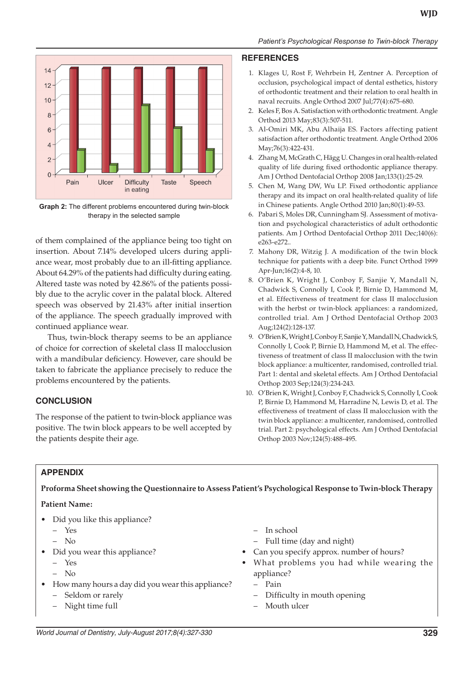

**Graph 2:** The different problems encountered during twin-block therapy in the selected sample

of them complained of the appliance being too tight on insertion. About 7.14% developed ulcers during appliance wear, most probably due to an ill-fitting appliance. About 64.29% of the patients had difficulty during eating. Altered taste was noted by 42.86% of the patients possibly due to the acrylic cover in the palatal block. Altered speech was observed by 21.43% after initial insertion of the appliance. The speech gradually improved with continued appliance wear.

Thus, twin-block therapy seems to be an appliance of choice for correction of skeletal class II malocclusion with a mandibular deficiency. However, care should be taken to fabricate the appliance precisely to reduce the problems encountered by the patients.

# **CONCLUSION**

The response of the patient to twin-block appliance was positive. The twin block appears to be well accepted by the patients despite their age.

### **REFERENCES**

- 1. Klages U, Rost F, Wehrbein H, Zentner A. Perception of occlusion, psychological impact of dental esthetics, history of orthodontic treatment and their relation to oral health in naval recruits. Angle Orthod 2007 Jul;77(4):675-680.
- 2. Keles F, Bos A. Satisfaction with orthodontic treatment. Angle Orthod 2013 May;83(3):507-511.
- 3. Al-Omiri MK, Abu Alhaija ES. Factors affecting patient satisfaction after orthodontic treatment. Angle Orthod 2006 May;76(3):422-431.
- 4. Zhang M, McGrath C, Hägg U. Changes in oral health-related quality of life during fixed orthodontic appliance therapy. Am J Orthod Dentofacial Orthop 2008 Jan;133(1):25-29.
- 5. Chen M, Wang DW, Wu LP. Fixed orthodontic appliance therapy and its impact on oral health-related quality of life in Chinese patients. Angle Orthod 2010 Jan;80(1):49-53.
- 6. Pabari S, Moles DR, Cunningham SJ. Assessment of motivation and psychological characteristics of adult orthodontic patients. Am J Orthod Dentofacial Orthop 2011 Dec;140(6): e263-e272..
- 7. Mahony DR, Witzig J. A modification of the twin block technique for patients with a deep bite. Funct Orthod 1999 Apr-Jun;16(2):4-8, 10.
- 8. O'Brien K, Wright J, Conboy F, Sanjie Y, Mandall N, Chadwick S, Connolly I, Cook P, Birnie D, Hammond M, et al. Effectiveness of treatment for class II malocclusion with the herbst or twin-block appliances: a randomized, controlled trial. Am J Orthod Dentofacial Orthop 2003 Aug;124(2):128-137.
- 9. O'Brien K, Wright J, Conboy F, Sanjie Y, Mandall N, Chadwick S, Connolly I, Cook P, Birnie D, Hammond M, et al. The effectiveness of treatment of class II malocclusion with the twin block appliance: a multicenter, randomised, controlled trial. Part 1: dental and skeletal effects. Am J Orthod Dentofacial Orthop 2003 Sep;124(3):234-243.
- 10. O'Brien K, Wright J, Conboy F, Chadwick S, Connolly I, Cook P, Birnie D, Hammond M, Harradine N, Lewis D, et al. The effectiveness of treatment of class II malocclusion with the twin block appliance: a multicenter, randomised, controlled trial. Part 2: psychological effects. Am J Orthod Dentofacial Orthop 2003 Nov;124(5):488-495.

# **Appendix**

**Proforma Sheet showing the Questionnaire to Assess Patient's Psychological Response to Twin-block Therapy**

## **Patient Name:**

- Did you like this appliance?
	- Yes
	- No
- Did you wear this appliance?
	- Yes
	- No
- How many hours a day did you wear this appliance?
	- Seldom or rarely
	- Night time full
- In school
- Full time (day and night)
- Can you specify approx. number of hours?
- What problems you had while wearing the appliance?
	- Pain
	- Difficulty in mouth opening
	- Mouth ulcer